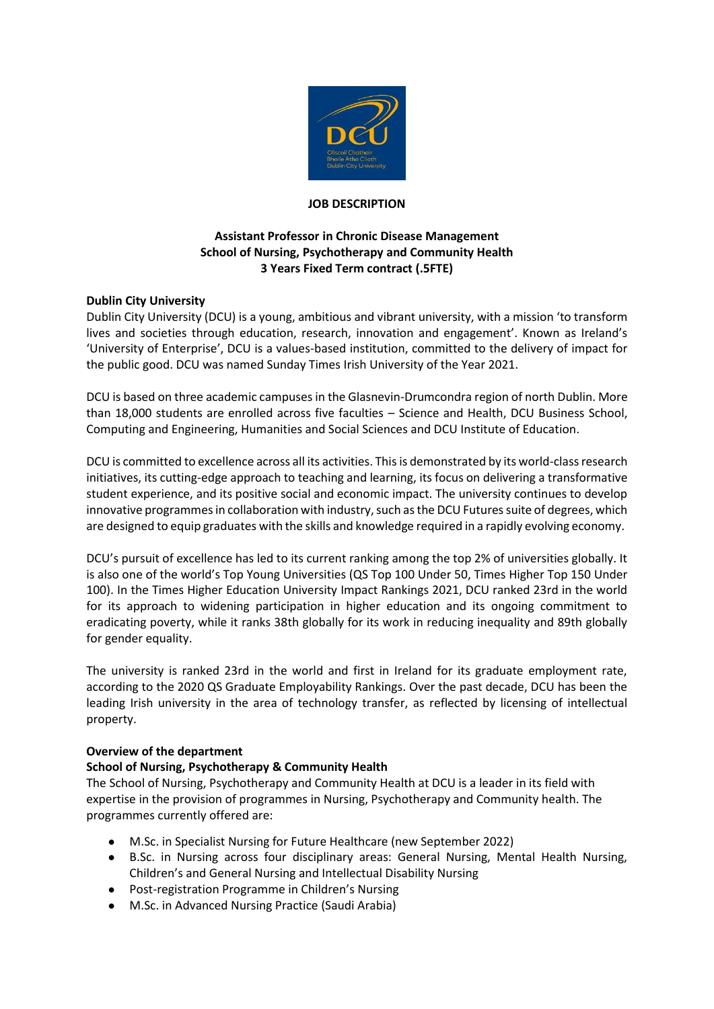

#### **JOB DESCRIPTION**

## **Assistant Professor in Chronic Disease Management School of Nursing, Psychotherapy and Community Health 3 Years Fixed Term contract (.5FTE)**

# **Dublin City University**

Dublin City University (DCU) is a young, ambitious and vibrant university, with a mission 'to transform lives and societies through education, research, innovation and engagement'. Known as Ireland's 'University of Enterprise', DCU is a values-based institution, committed to the delivery of impact for the public good. DCU was named Sunday Times Irish University of the Year 2021.

DCU is based on three academic campuses in the Glasnevin-Drumcondra region of north Dublin. More than 18,000 students are enrolled across five faculties – Science and Health, DCU Business School, Computing and Engineering, Humanities and Social Sciences and DCU Institute of Education.

DCU is committed to excellence across all its activities. This is demonstrated by its world-class research initiatives, its cutting-edge approach to teaching and learning, its focus on delivering a transformative student experience, and its positive social and economic impact. The university continues to develop innovative programmes in collaboration with industry, such as the DCU Futures suite of degrees, which are designed to equip graduates with the skills and knowledge required in a rapidly evolving economy.

DCU's pursuit of excellence has led to its current ranking among the top 2% of universities globally. It is also one of the world's Top Young Universities (QS Top 100 Under 50, Times Higher Top 150 Under 100). In the Times Higher Education University Impact Rankings 2021, DCU ranked 23rd in the world for its approach to widening participation in higher education and its ongoing commitment to eradicating poverty, while it ranks 38th globally for its work in reducing inequality and 89th globally for gender equality.

The university is ranked 23rd in the world and first in Ireland for its graduate employment rate, according to the 2020 QS Graduate Employability Rankings. Over the past decade, DCU has been the leading Irish university in the area of technology transfer, as reflected by licensing of intellectual property.

#### **Overview of the department**

# **School of Nursing, Psychotherapy & Community Health**

The School of Nursing, Psychotherapy and Community Health at DCU is a leader in its field with expertise in the provision of programmes in Nursing, Psychotherapy and Community health. The programmes currently offered are:

- M.Sc. in Specialist Nursing for Future Healthcare (new September 2022)
- B.Sc. in Nursing across four disciplinary areas: General Nursing, Mental Health Nursing, Children's and General Nursing and Intellectual Disability Nursing
- Post-registration Programme in Children's Nursing
- M.Sc. in Advanced Nursing Practice (Saudi Arabia)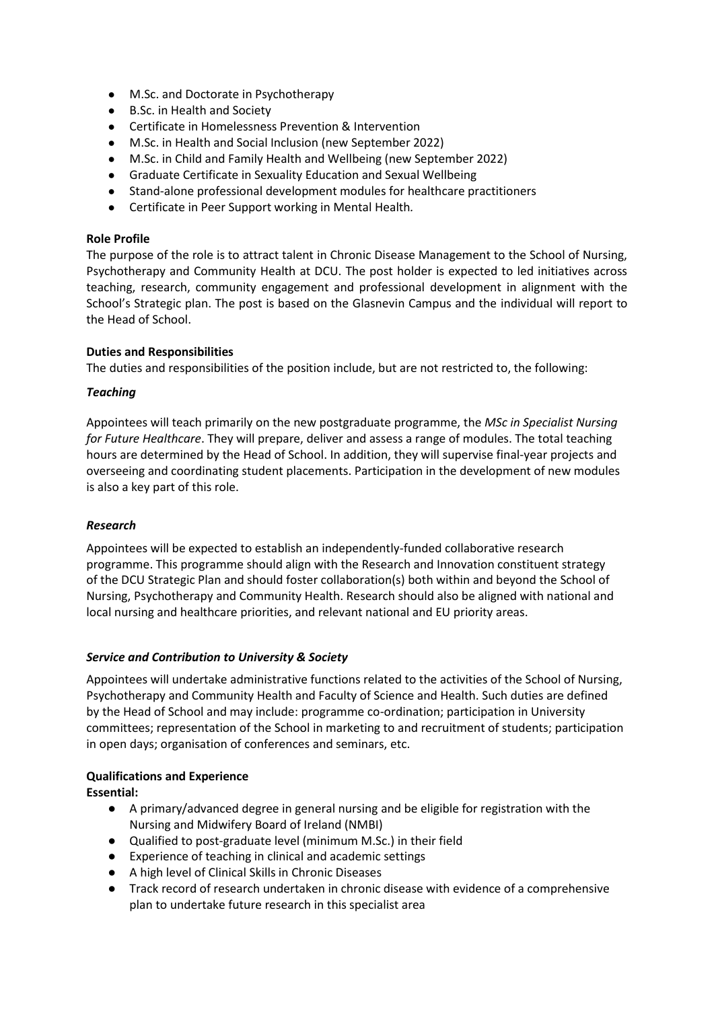- M.Sc. and Doctorate in Psychotherapy
- B.Sc. in Health and Society
- Certificate in Homelessness Prevention & Intervention
- M.Sc. in Health and Social Inclusion (new September 2022)
- M.Sc. in Child and Family Health and Wellbeing (new September 2022)
- Graduate Certificate in Sexuality Education and Sexual Wellbeing
- Stand-alone professional development modules for healthcare practitioners
- Certificate in Peer Support working in Mental Health*.*

### **Role Profile**

The purpose of the role is to attract talent in Chronic Disease Management to the School of Nursing, Psychotherapy and Community Health at DCU. The post holder is expected to led initiatives across teaching, research, community engagement and professional development in alignment with the School's Strategic plan. The post is based on the Glasnevin Campus and the individual will report to the Head of School.

### **Duties and Responsibilities**

The duties and responsibilities of the position include, but are not restricted to, the following:

### *Teaching*

Appointees will teach primarily on the new postgraduate programme, the *MSc in Specialist Nursing for Future Healthcare*. They will prepare, deliver and assess a range of modules. The total teaching hours are determined by the Head of School. In addition, they will supervise final-year projects and overseeing and coordinating student placements. Participation in the development of new modules is also a key part of this role.

#### *Research*

Appointees will be expected to establish an independently-funded collaborative research programme. This programme should align with the Research and Innovation constituent strategy of the DCU Strategic Plan and should foster collaboration(s) both within and beyond the School of Nursing, Psychotherapy and Community Health. Research should also be aligned with national and local nursing and healthcare priorities, and relevant national and EU priority areas.

#### *Service and Contribution to University & Society*

Appointees will undertake administrative functions related to the activities of the School of Nursing, Psychotherapy and Community Health and Faculty of Science and Health. Such duties are defined by the Head of School and may include: programme co-ordination; participation in University committees; representation of the School in marketing to and recruitment of students; participation in open days; organisation of conferences and seminars, etc.

# **Qualifications and Experience**

**Essential:**

- A primary/advanced degree in general nursing and be eligible for registration with the Nursing and Midwifery Board of Ireland (NMBI)
- Qualified to post-graduate level (minimum M.Sc.) in their field
- Experience of teaching in clinical and academic settings
- A high level of Clinical Skills in Chronic Diseases
- Track record of research undertaken in chronic disease with evidence of a comprehensive plan to undertake future research in this specialist area